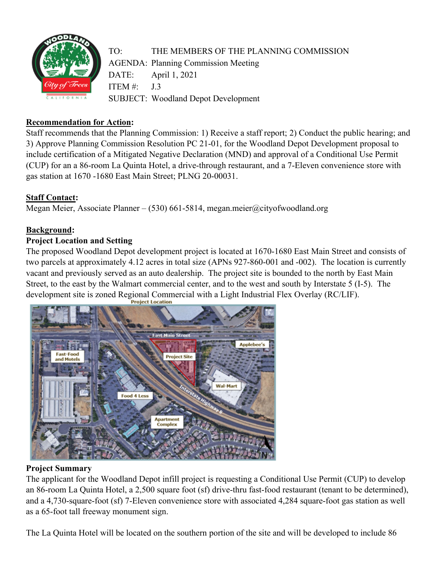

# **Recommendation for Action:**

Staff recommends that the Planning Commission: 1) Receive a staff report; 2) Conduct the public hearing; and 3) Approve Planning Commission Resolution PC 21-01, for the Woodland Depot Development proposal to include certification of a Mitigated Negative Declaration (MND) and approval of a Conditional Use Permit (CUP) for an a 86-room La Quinta Hotel, a drive-through restaurant, and a 7-Eleven convenience store with gas station at 1670 -1680 East Main Street; PLNG 20-00031.

# **Staff Contact:**

Megan Meier, Associate Planner – (530) 661-5814, megan.meier@cityofwoodland.org

### **Background:**

### **Project Location and Setting**

The proposed Woodland Depot development project is located at 1670-1680 East Main Street and consists of two parcels at approximately 4.12 acres in total size (APNs 927-860-001 and -002). The location is currently vacant and previously served as an auto dealership. The project site is bounded to the north by East Main Street, to the east by the Walmart commercial center, and to the west and south by Interstate 5 (I-5). The development site is zoned Regional Commercial with a Light Industrial Flex Overlay (RC/LIF).



### **Project Summary**

The applicant for the Woodland Depot infill project is requesting a Conditional Use Permit (CUP) to develop an 86-room La Quinta Hotel, a 2,500 square foot (sf) drive-thru fast-food restaurant (tenant to be determined), and a 4,730-square-foot (sf) 7-Eleven convenience store with associated 4,284 square-foot gas station as well as a 65-foot tall freeway monument sign.

The La Quinta Hotel will be located on the southern portion of the site and will be developed to include 86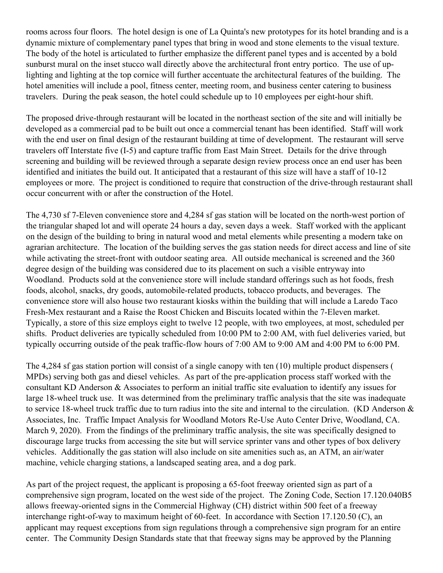rooms across four floors. The hotel design is one of La Quinta's new prototypes for its hotel branding and is a dynamic mixture of complementary panel types that bring in wood and stone elements to the visual texture. The body of the hotel is articulated to further emphasize the different panel types and is accented by a bold sunburst mural on the inset stucco wall directly above the architectural front entry portico. The use of uplighting and lighting at the top cornice will further accentuate the architectural features of the building. The hotel amenities will include a pool, fitness center, meeting room, and business center catering to business travelers. During the peak season, the hotel could schedule up to 10 employees per eight-hour shift.

The proposed drive-through restaurant will be located in the northeast section of the site and will initially be developed as a commercial pad to be built out once a commercial tenant has been identified. Staff will work with the end user on final design of the restaurant building at time of development. The restaurant will serve travelers off Interstate five (I-5) and capture traffic from East Main Street. Details for the drive through screening and building will be reviewed through a separate design review process once an end user has been identified and initiates the build out. It anticipated that a restaurant of this size will have a staff of 10-12 employees or more. The project is conditioned to require that construction of the drive-through restaurant shall occur concurrent with or after the construction of the Hotel.

The 4,730 sf 7-Eleven convenience store and 4,284 sf gas station will be located on the north-west portion of the triangular shaped lot and will operate 24 hours a day, seven days a week. Staff worked with the applicant on the design of the building to bring in natural wood and metal elements while presenting a modern take on agrarian architecture. The location of the building serves the gas station needs for direct access and line of site while activating the street-front with outdoor seating area. All outside mechanical is screened and the 360 degree design of the building was considered due to its placement on such a visible entryway into Woodland. Products sold at the convenience store will include standard offerings such as hot foods, fresh foods, alcohol, snacks, dry goods, automobile-related products, tobacco products, and beverages. The convenience store will also house two restaurant kiosks within the building that will include a Laredo Taco Fresh-Mex restaurant and a Raise the Roost Chicken and Biscuits located within the 7-Eleven market. Typically, a store of this size employs eight to twelve 12 people, with two employees, at most, scheduled per shifts. Product deliveries are typically scheduled from 10:00 PM to 2:00 AM, with fuel deliveries varied, but typically occurring outside of the peak traffic-flow hours of 7:00 AM to 9:00 AM and 4:00 PM to 6:00 PM.

The 4,284 sf gas station portion will consist of a single canopy with ten (10) multiple product dispensers ( MPDs) serving both gas and diesel vehicles. As part of the pre-application process staff worked with the consultant KD Anderson & Associates to perform an initial traffic site evaluation to identify any issues for large 18-wheel truck use. It was determined from the preliminary traffic analysis that the site was inadequate to service 18-wheel truck traffic due to turn radius into the site and internal to the circulation. (KD Anderson & Associates, Inc. Traffic Impact Analysis for Woodland Motors Re-Use Auto Center Drive, Woodland, CA. March 9, 2020). From the findings of the preliminary traffic analysis, the site was specifically designed to discourage large trucks from accessing the site but will service sprinter vans and other types of box delivery vehicles. Additionally the gas station will also include on site amenities such as, an ATM, an air/water machine, vehicle charging stations, a landscaped seating area, and a dog park.

As part of the project request, the applicant is proposing a 65-foot freeway oriented sign as part of a comprehensive sign program, located on the west side of the project. The Zoning Code, Section 17.120.040B5 allows freeway-oriented signs in the Commercial Highway (CH) district within 500 feet of a freeway interchange right-of-way to maximum height of 60-feet. In accordance with Section 17.120.50 (C), an applicant may request exceptions from sign regulations through a comprehensive sign program for an entire center. The Community Design Standards state that that freeway signs may be approved by the Planning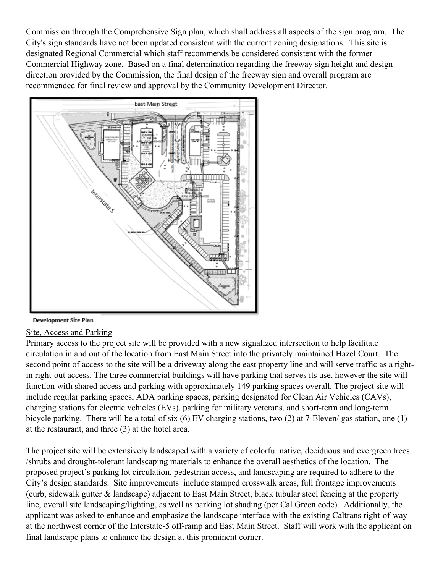Commission through the Comprehensive Sign plan, which shall address all aspects of the sign program. The City's sign standards have not been updated consistent with the current zoning designations. This site is designated Regional Commercial which staff recommends be considered consistent with the former Commercial Highway zone. Based on a final determination regarding the freeway sign height and design direction provided by the Commission, the final design of the freeway sign and overall program are recommended for final review and approval by the Community Development Director.



#### Development Site Plan

#### Site, Access and Parking

Primary access to the project site will be provided with a new signalized intersection to help facilitate circulation in and out of the location from East Main Street into the privately maintained Hazel Court. The second point of access to the site will be a driveway along the east property line and will serve traffic as a rightin right-out access. The three commercial buildings will have parking that serves its use, however the site will function with shared access and parking with approximately 149 parking spaces overall. The project site will include regular parking spaces, ADA parking spaces, parking designated for Clean Air Vehicles (CAVs), charging stations for electric vehicles (EVs), parking for military veterans, and short-term and long-term bicycle parking. There will be a total of six (6) EV charging stations, two (2) at 7-Eleven/ gas station, one (1) at the restaurant, and three (3) at the hotel area.

The project site will be extensively landscaped with a variety of colorful native, deciduous and evergreen trees /shrubs and drought-tolerant landscaping materials to enhance the overall aesthetics of the location. The proposed project's parking lot circulation, pedestrian access, and landscaping are required to adhere to the City's design standards. Site improvements include stamped crosswalk areas, full frontage improvements (curb, sidewalk gutter & landscape) adjacent to East Main Street, black tubular steel fencing at the property line, overall site landscaping/lighting, as well as parking lot shading (per Cal Green code). Additionally, the applicant was asked to enhance and emphasize the landscape interface with the existing Caltrans right-of-way at the northwest corner of the Interstate-5 off-ramp and East Main Street. Staff will work with the applicant on final landscape plans to enhance the design at this prominent corner.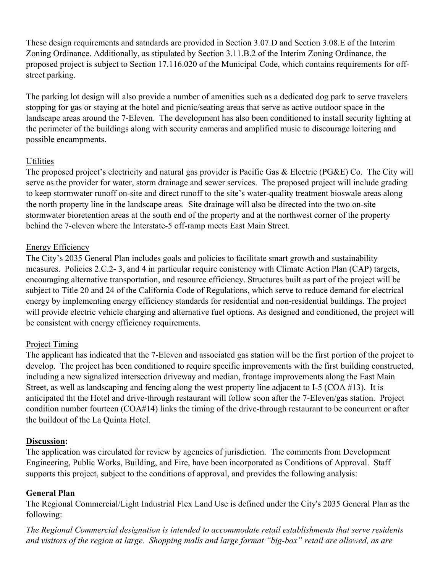These design requirements and satndards are provided in Section 3.07.D and Section 3.08.E of the Interim Zoning Ordinance. Additionally, as stipulated by Section 3.11.B.2 of the Interim Zoning Ordinance, the proposed project is subject to Section 17.116.020 of the Municipal Code, which contains requirements for offstreet parking.

The parking lot design will also provide a number of amenities such as a dedicated dog park to serve travelers stopping for gas or staying at the hotel and picnic/seating areas that serve as active outdoor space in the landscape areas around the 7-Eleven. The development has also been conditioned to install security lighting at the perimeter of the buildings along with security cameras and amplified music to discourage loitering and possible encampments.

### Utilities

The proposed project's electricity and natural gas provider is Pacific Gas & Electric (PG&E) Co. The City will serve as the provider for water, storm drainage and sewer services. The proposed project will include grading to keep stormwater runoff on-site and direct runoff to the site's water-quality treatment bioswale areas along the north property line in the landscape areas. Site drainage will also be directed into the two on-site stormwater bioretention areas at the south end of the property and at the northwest corner of the property behind the 7-eleven where the Interstate-5 off-ramp meets East Main Street.

# Energy Efficiency

The City's 2035 General Plan includes goals and policies to facilitate smart growth and sustainability measures. Policies 2.C.2- 3, and 4 in particular require conistency with Climate Action Plan (CAP) targets, encouraging alternative transportation, and resource efficiency. Structures built as part of the project will be subject to Title 20 and 24 of the California Code of Regulations, which serve to reduce demand for electrical energy by implementing energy efficiency standards for residential and non-residential buildings. The project will provide electric vehicle charging and alternative fuel options. As designed and conditioned, the project will be consistent with energy efficiency requirements.

# Project Timing

The applicant has indicated that the 7-Eleven and associated gas station will be the first portion of the project to develop. The project has been conditioned to require specific improvements with the first building constructed, including a new signalized intersection driveway and median, frontage improvements along the East Main Street, as well as landscaping and fencing along the west property line adjacent to I-5 (COA #13). It is anticipated tht the Hotel and drive-through restaurant will follow soon after the 7-Eleven/gas station. Project condition number fourteen (COA#14) links the timing of the drive-through restaurant to be concurrent or after the buildout of the La Quinta Hotel.

# **Discussion:**

The application was circulated for review by agencies of jurisdiction. The comments from Development Engineering, Public Works, Building, and Fire, have been incorporated as Conditions of Approval. Staff supports this project, subject to the conditions of approval, and provides the following analysis:

# **General Plan**

The Regional Commercial/Light Industrial Flex Land Use is defined under the City's 2035 General Plan as the following:

*The Regional Commercial designation is intended to accommodate retail establishments that serve residents* and visitors of the region at large. Shopping malls and large format "big-box" retail are allowed, as are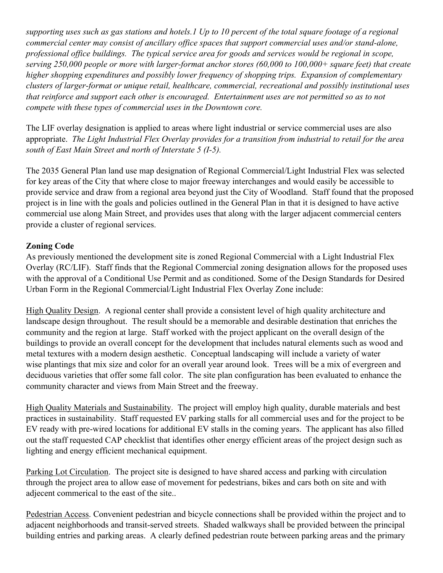supporting uses such as gas stations and hotels. I Up to 10 percent of the total square footage of a regional *commercial center may consist of ancillary office spaces that support commercial uses and/or stand-alone, professional office buildings. The typical service area for goods and services would be regional in scope, serving 250,000 people or more with larger-format anchor stores (60,000 to 100,000+ square feet) that create higher shopping expenditures and possibly lower frequency of shopping trips. Expansion of complementary clusters of larger-format or unique retail, healthcare, commercial, recreational and possibly institutional uses that reinforce and support each other is encouraged. Entertainment uses are not permitted so as to not compete with these types of commercial uses in the Downtown core.*

The LIF overlay designation is applied to areas where light industrial or service commercial uses are also appropriate. *The Light Industrial Flex Overlay provides for a transition from industrial to retail for the area south of East Main Street and north of Interstate 5 (I-5).*

The 2035 General Plan land use map designation of Regional Commercial/Light Industrial Flex was selected for key areas of the City that where close to major freeway interchanges and would easily be accessible to provide service and draw from a regional area beyond just the City of Woodland. Staff found that the proposed project is in line with the goals and policies outlined in the General Plan in that it is designed to have active commercial use along Main Street, and provides uses that along with the larger adjacent commercial centers provide a cluster of regional services.

### **Zoning Code**

As previously mentioned the development site is zoned Regional Commercial with a Light Industrial Flex Overlay (RC/LIF). Staff finds that the Regional Commercial zoning designation allows for the proposed uses with the approval of a Conditional Use Permit and as conditioned. Some of the Design Standards for Desired Urban Form in the Regional Commercial/Light Industrial Flex Overlay Zone include:

High Quality Design. A regional center shall provide a consistent level of high quality architecture and landscape design throughout. The result should be a memorable and desirable destination that enriches the community and the region at large. Staff worked with the project applicant on the overall design of the buildings to provide an overall concept for the development that includes natural elements such as wood and metal textures with a modern design aesthetic. Conceptual landscaping will include a variety of water wise plantings that mix size and color for an overall year around look. Trees will be a mix of evergreen and deciduous varieties that offer some fall color. The site plan configuration has been evaluated to enhance the community character and views from Main Street and the freeway.

High Quality Materials and Sustainability. The project will employ high quality, durable materials and best practices in sustainability. Staff requested EV parking stalls for all commercial uses and for the project to be EV ready with pre-wired locations for additional EV stalls in the coming years. The applicant has also filled out the staff requested CAP checklist that identifies other energy efficient areas of the project design such as lighting and energy efficient mechanical equipment.

Parking Lot Circulation. The project site is designed to have shared access and parking with circulation through the project area to allow ease of movement for pedestrians, bikes and cars both on site and with adjecent commerical to the east of the site..

Pedestrian Access. Convenient pedestrian and bicycle connections shall be provided within the project and to adjacent neighborhoods and transit-served streets. Shaded walkways shall be provided between the principal building entries and parking areas. A clearly defined pedestrian route between parking areas and the primary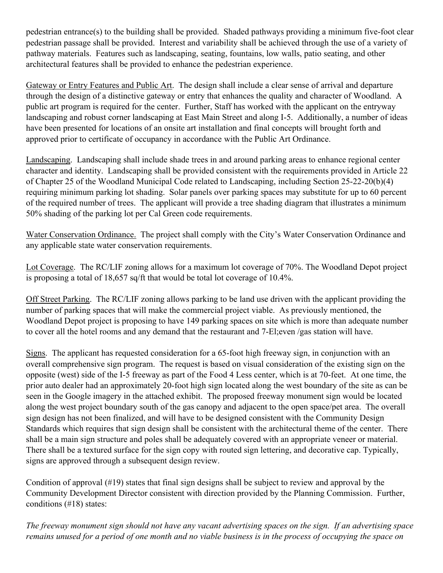pedestrian entrance(s) to the building shall be provided. Shaded pathways providing a minimum five-foot clear pedestrian passage shall be provided. Interest and variability shall be achieved through the use of a variety of pathway materials. Features such as landscaping, seating, fountains, low walls, patio seating, and other architectural features shall be provided to enhance the pedestrian experience.

Gateway or Entry Features and Public Art. The design shall include a clear sense of arrival and departure through the design of a distinctive gateway or entry that enhances the quality and character of Woodland. A public art program is required for the center. Further, Staff has worked with the applicant on the entryway landscaping and robust corner landscaping at East Main Street and along I-5. Additionally, a number of ideas have been presented for locations of an onsite art installation and final concepts will brought forth and approved prior to certificate of occupancy in accordance with the Public Art Ordinance.

Landscaping. Landscaping shall include shade trees in and around parking areas to enhance regional center character and identity. Landscaping shall be provided consistent with the requirements provided in Article 22 of Chapter 25 of the Woodland Municipal Code related to Landscaping, including Section 25-22-20(b)(4) requiring minimum parking lot shading. Solar panels over parking spaces may substitute for up to 60 percent of the required number of trees. The applicant will provide a tree shading diagram that illustrates a minimum 50% shading of the parking lot per Cal Green code requirements.

Water Conservation Ordinance. The project shall comply with the City's Water Conservation Ordinance and any applicable state water conservation requirements.

Lot Coverage. The RC/LIF zoning allows for a maximum lot coverage of 70%. The Woodland Depot project is proposing a total of 18,657 sq/ft that would be total lot coverage of 10.4%.

Off Street Parking. The RC/LIF zoning allows parking to be land use driven with the applicant providing the number of parking spaces that will make the commercial project viable. As previously mentioned, the Woodland Depot project is proposing to have 149 parking spaces on site which is more than adequate number to cover all the hotel rooms and any demand that the restaurant and 7-El;even /gas station will have.

Signs. The applicant has requested consideration for a 65-foot high freeway sign, in conjunction with an overall comprehensive sign program. The request is based on visual consideration of the existing sign on the opposite (west) side of the I-5 freeway as part of the Food 4 Less center, which is at 70-feet. At one time, the prior auto dealer had an approximately 20-foot high sign located along the west boundary of the site as can be seen in the Google imagery in the attached exhibit. The proposed freeway monument sign would be located along the west project boundary south of the gas canopy and adjacent to the open space/pet area. The overall sign design has not been finalized, and will have to be designed consistent with the Community Design Standards which requires that sign design shall be consistent with the architectural theme of the center. There shall be a main sign structure and poles shall be adequately covered with an appropriate veneer or material. There shall be a textured surface for the sign copy with routed sign lettering, and decorative cap. Typically, signs are approved through a subsequent design review.

Condition of approval (#19) states that final sign designs shall be subject to review and approval by the Community Development Director consistent with direction provided by the Planning Commission. Further, conditions (#18) states:

The freeway monument sign should not have any vacant advertising spaces on the sign. If an advertising space remains unused for a period of one month and no viable business is in the process of occupying the space on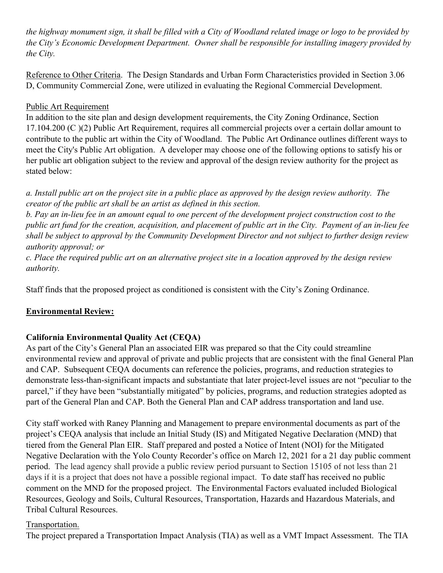the highway monument sign, it shall be filled with a City of Woodland related image or logo to be provided by *the City's Economic Development Department. Owner shall be responsible for installing imagery provided by the City.*

Reference to Other Criteria. The Design Standards and Urban Form Characteristics provided in Section 3.06 D, Community Commercial Zone, were utilized in evaluating the Regional Commercial Development.

# Public Art Requirement

In addition to the site plan and design development requirements, the City Zoning Ordinance, Section 17.104.200 (C )(2) Public Art Requirement, requires all commercial projects over a certain dollar amount to contribute to the public art within the City of Woodland. The Public Art Ordinance outlines different ways to meet the City's Public Art obligation. A developer may choose one of the following options to satisfy his or her public art obligation subject to the review and approval of the design review authority for the project as stated below:

a. Install public art on the project site in a public place as approved by the design review authority. The *creator of the public art shall be an artist as defined in this section.*

b. Pay an in-lieu fee in an amount equal to one percent of the development project construction cost to the public art fund for the creation, acquisition, and placement of public art in the City. Payment of an in-lieu fee shall be subject to approval by the Community Development Director and not subject to further design review *authority approval; or*

c. Place the required public art on an alternative project site in a location approved by the design review *authority.*

Staff finds that the proposed project as conditioned is consistent with the City's Zoning Ordinance.

# **Environmental Review:**

# **California Environmental Quality Act (CEQA)**

As part of the City's General Plan an associated EIR was prepared so that the City could streamline environmental review and approval of private and public projects that are consistent with the final General Plan and CAP. Subsequent CEQA documents can reference the policies, programs, and reduction strategies to demonstrate less-than-significant impacts and substantiate that later project-level issues are not "peculiar to the parcel," if they have been "substantially mitigated" by policies, programs, and reduction strategies adopted as part of the General Plan and CAP. Both the General Plan and CAP address transportation and land use.

City staff worked with Raney Planning and Management to prepare environmental documents as part of the project's CEQA analysis that include an Initial Study (IS) and Mitigated Negative Declaration (MND) that tiered from the General Plan EIR. Staff prepared and posted a Notice of Intent (NOI) for the Mitigated Negative Declaration with the Yolo County Recorder's office on March 12, 2021 for a 21 day public comment period. The lead agency shall provide a public review period pursuant to Section 15105 of not less than 21 days if it is a project that does not have a possible regional impact. To date staff has received no public comment on the MND for the proposed project. The Environmental Factors evaluated included Biological Resources, Geology and Soils, Cultural Resources, Transportation, Hazards and Hazardous Materials, and Tribal Cultural Resources.

# Transportation.

The project prepared a Transportation Impact Analysis (TIA) as well as a VMT Impact Assessment. The TIA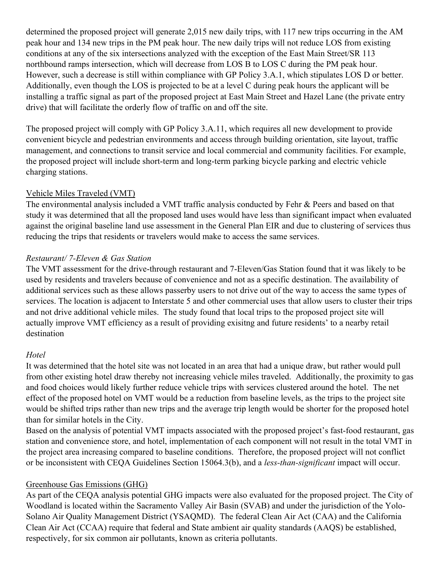determined the proposed project will generate 2,015 new daily trips, with 117 new trips occurring in the AM peak hour and 134 new trips in the PM peak hour. The new daily trips will not reduce LOS from existing conditions at any of the six intersections analyzed with the exception of the East Main Street/SR 113 northbound ramps intersection, which will decrease from LOS B to LOS C during the PM peak hour. However, such a decrease is still within compliance with GP Policy 3.A.1, which stipulates LOS D or better. Additionally, even though the LOS is projected to be at a level C during peak hours the applicant will be installing a traffic signal as part of the proposed project at East Main Street and Hazel Lane (the private entry drive) that will facilitate the orderly flow of traffic on and off the site.

The proposed project will comply with GP Policy 3.A.11, which requires all new development to provide convenient bicycle and pedestrian environments and access through building orientation, site layout, traffic management, and connections to transit service and local commercial and community facilities. For example, the proposed project will include short-term and long-term parking bicycle parking and electric vehicle charging stations.

### Vehicle Miles Traveled (VMT)

The environmental analysis included a VMT traffic analysis conducted by Fehr & Peers and based on that study it was determined that all the proposed land uses would have less than significant impact when evaluated against the original baseline land use assessment in the General Plan EIR and due to clustering of services thus reducing the trips that residents or travelers would make to access the same services.

### *Restaurant/ 7-Eleven & Gas Station*

The VMT assessment for the drive-through restaurant and 7-Eleven/Gas Station found that it was likely to be used by residents and travelers because of convenience and not as a specific destination. The availability of additional services such as these allows passerby users to not drive out of the way to access the same types of services. The location is adjacent to Interstate 5 and other commercial uses that allow users to cluster their trips and not drive additional vehicle miles. The study found that local trips to the proposed project site will actually improve VMT efficiency as a result of providing exisitng and future residents' to a nearby retail destination

### *Hotel*

It was determined that the hotel site was not located in an area that had a unique draw, but rather would pull from other existing hotel draw thereby not increasing vehicle miles traveled. Additionally, the proximity to gas and food choices would likely further reduce vehicle trips with services clustered around the hotel. The net effect of the proposed hotel on VMT would be a reduction from baseline levels, as the trips to the project site would be shifted trips rather than new trips and the average trip length would be shorter for the proposed hotel than for similar hotels in the City.

Based on the analysis of potential VMT impacts associated with the proposed project's fast-food restaurant, gas station and convenience store, and hotel, implementation of each component will not result in the total VMT in the project area increasing compared to baseline conditions. Therefore, the proposed project will not conflict or be inconsistent with CEQA Guidelines Section 15064.3(b), and a *less-than-significant* impact will occur.

### Greenhouse Gas Emissions (GHG)

As part of the CEQA analysis potential GHG impacts were also evaluated for the proposed project. The City of Woodland is located within the Sacramento Valley Air Basin (SVAB) and under the jurisdiction of the Yolo-Solano Air Quality Management District (YSAQMD). The federal Clean Air Act (CAA) and the California Clean Air Act (CCAA) require that federal and State ambient air quality standards (AAQS) be established, respectively, for six common air pollutants, known as criteria pollutants.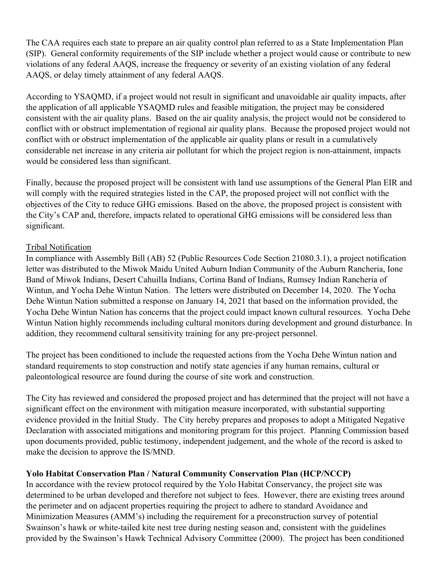The CAA requires each state to prepare an air quality control plan referred to as a State Implementation Plan (SIP). General conformity requirements of the SIP include whether a project would cause or contribute to new violations of any federal AAQS, increase the frequency or severity of an existing violation of any federal AAQS, or delay timely attainment of any federal AAQS.

According to YSAQMD, if a project would not result in significant and unavoidable air quality impacts, after the application of all applicable YSAQMD rules and feasible mitigation, the project may be considered consistent with the air quality plans. Based on the air quality analysis, the project would not be considered to conflict with or obstruct implementation of regional air quality plans. Because the proposed project would not conflict with or obstruct implementation of the applicable air quality plans or result in a cumulatively considerable net increase in any criteria air pollutant for which the project region is non-attainment, impacts would be considered less than significant.

Finally, because the proposed project will be consistent with land use assumptions of the General Plan EIR and will comply with the required strategies listed in the CAP, the proposed project will not conflict with the objectives of the City to reduce GHG emissions. Based on the above, the proposed project is consistent with the City's CAP and, therefore, impacts related to operational GHG emissions will be considered less than significant.

### Tribal Notification

In compliance with Assembly Bill (AB) 52 (Public Resources Code Section 21080.3.1), a project notification letter was distributed to the Miwok Maidu United Auburn Indian Community of the Auburn Rancheria, Ione Band of Miwok Indians, Desert Cahuilla Indians, Cortina Band of Indians, Rumsey Indian Rancheria of Wintun, and Yocha Dehe Wintun Nation. The letters were distributed on December 14, 2020. The Yocha Dehe Wintun Nation submitted a response on January 14, 2021 that based on the information provided, the Yocha Dehe Wintun Nation has concerns that the project could impact known cultural resources. Yocha Dehe Wintun Nation highly recommends including cultural monitors during development and ground disturbance. In addition, they recommend cultural sensitivity training for any pre-project personnel.

The project has been conditioned to include the requested actions from the Yocha Dehe Wintun nation and standard requirements to stop construction and notify state agencies if any human remains, cultural or paleontological resource are found during the course of site work and construction.

The City has reviewed and considered the proposed project and has determined that the project will not have a significant effect on the environment with mitigation measure incorporated, with substantial supporting evidence provided in the Initial Study. The City hereby prepares and proposes to adopt a Mitigated Negative Declaration with associated mitigations and monitoring program for this project. Planning Commission based upon documents provided, public testimony, independent judgement, and the whole of the record is asked to make the decision to approve the IS/MND.

# **Yolo Habitat Conservation Plan / Natural Community Conservation Plan (HCP/NCCP)**

In accordance with the review protocol required by the Yolo Habitat Conservancy, the project site was determined to be urban developed and therefore not subject to fees. However, there are existing trees around the perimeter and on adjacent properties requiring the project to adhere to standard Avoidance and Minimization Measures (AMM's) including the requirement for a preconstruction survey of potential Swainson's hawk or white-tailed kite nest tree during nesting season and, consistent with the guidelines provided by the Swainson's Hawk Technical Advisory Committee (2000). The project has been conditioned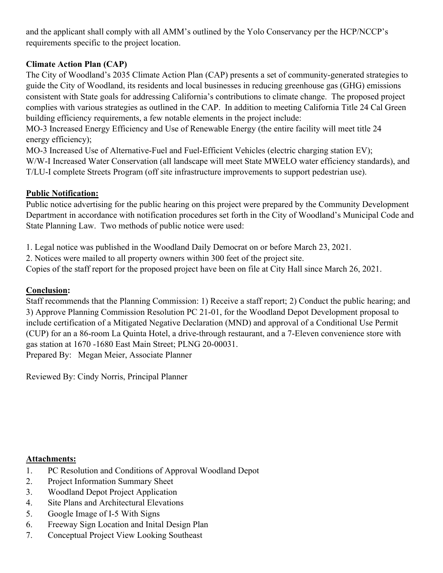and the applicant shall comply with all AMM's outlined by the Yolo Conservancy per the HCP/NCCP's requirements specific to the project location.

# **Climate Action Plan (CAP)**

The City of Woodland's 2035 Climate Action Plan (CAP) presents a set of community-generated strategies to guide the City of Woodland, its residents and local businesses in reducing greenhouse gas (GHG) emissions consistent with State goals for addressing California's contributions to climate change. The proposed project complies with various strategies as outlined in the CAP. In addition to meeting California Title 24 Cal Green building efficiency requirements, a few notable elements in the project include:

MO-3 Increased Energy Efficiency and Use of Renewable Energy (the entire facility will meet title 24 energy efficiency);

MO-3 Increased Use of Alternative-Fuel and Fuel-Efficient Vehicles (electric charging station EV); W/W-I Increased Water Conservation (all landscape will meet State MWELO water efficiency standards), and T/LU-I complete Streets Program (off site infrastructure improvements to support pedestrian use).

# **Public Notification:**

Public notice advertising for the public hearing on this project were prepared by the Community Development Department in accordance with notification procedures set forth in the City of Woodland's Municipal Code and State Planning Law. Two methods of public notice were used:

1. Legal notice was published in the Woodland Daily Democrat on or before March 23, 2021.

2. Notices were mailed to all property owners within 300 feet of the project site.

Copies of the staff report for the proposed project have been on file at City Hall since March 26, 2021.

# **Conclusion:**

Staff recommends that the Planning Commission: 1) Receive a staff report; 2) Conduct the public hearing; and 3) Approve Planning Commission Resolution PC 21-01, for the Woodland Depot Development proposal to include certification of a Mitigated Negative Declaration (MND) and approval of a Conditional Use Permit (CUP) for an a 86-room La Quinta Hotel, a drive-through restaurant, and a 7-Eleven convenience store with gas station at 1670 -1680 East Main Street; PLNG 20-00031. Prepared By: Megan Meier, Associate Planner

Reviewed By: Cindy Norris, Principal Planner

# **Attachments:**

- 1. PC Resolution and Conditions of Approval Woodland Depot
- 2. Project Information Summary Sheet
- 3. Woodland Depot Project Application
- 4. Site Plans and Architectural Elevations
- 5. Google Image of I-5 With Signs
- 6. Freeway Sign Location and Inital Design Plan
- 7. Conceptual Project View Looking Southeast